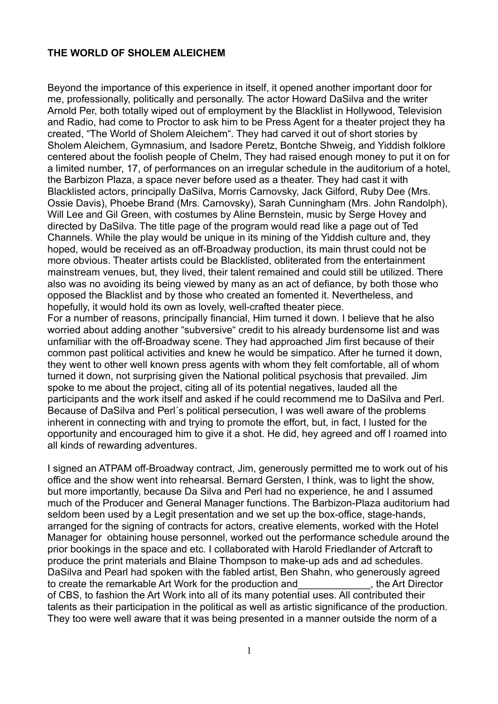## **THE WORLD OF SHOLEM ALEICHEM**

Beyond the importance of this experience in itself, it opened another important door for me, professionally, politically and personally. The actor Howard DaSilva and the writer Arnold Per, both totally wiped out of employment by the Blacklist in Hollywood, Television and Radio, had come to Proctor to ask him to be Press Agent for a theater project they ha created, "The World of Sholem Aleichem". They had carved it out of short stories by Sholem Aleichem, Gymnasium, and Isadore Peretz, Bontche Shweig, and Yiddish folklore centered about the foolish people of Chelm, They had raised enough money to put it on for a limited number, 17, of performances on an irregular schedule in the auditorium of a hotel, the Barbizon Plaza, a space never before used as a theater. They had cast it with Blacklisted actors, principally DaSilva, Morris Carnovsky, Jack Gilford, Ruby Dee (Mrs. Ossie Davis), Phoebe Brand (Mrs. Carnovsky), Sarah Cunningham (Mrs. John Randolph), Will Lee and Gil Green, with costumes by Aline Bernstein, music by Serge Hovey and directed by DaSilva. The title page of the program would read like a page out of Ted Channels. While the play would be unique in its mining of the Yiddish culture and, they hoped, would be received as an off-Broadway production, its main thrust could not be more obvious. Theater artists could be Blacklisted, obliterated from the entertainment mainstream venues, but, they lived, their talent remained and could still be utilized. There also was no avoiding its being viewed by many as an act of defiance, by both those who opposed the Blacklist and by those who created an fomented it. Nevertheless, and hopefully, it would hold its own as lovely, well-crafted theater piece. For a number of reasons, principally financial, Him turned it down. I believe that he also worried about adding another "subversive" credit to his already burdensome list and was unfamiliar with the off-Broadway scene. They had approached Jim first because of their common past political activities and knew he would be simpatico. After he turned it down, they went to other well known press agents with whom they felt comfortable, all of whom turned it down, not surprising given the National political psychosis that prevailed. Jim spoke to me about the project, citing all of its potential negatives, lauded all the participants and the work itself and asked if he could recommend me to DaSilva and Perl. Because of DaSilva and Perl´s political persecution, I was well aware of the problems inherent in connecting with and trying to promote the effort, but, in fact, I lusted for the opportunity and encouraged him to give it a shot. He did, hey agreed and off I roamed into

all kinds of rewarding adventures.

I signed an ATPAM off-Broadway contract, Jim, generously permitted me to work out of his office and the show went into rehearsal. Bernard Gersten, I think, was to light the show, but more importantly, because Da Silva and Perl had no experience, he and I assumed much of the Producer and General Manager functions. The Barbizon-Plaza auditorium had seldom been used by a Legit presentation and we set up the box-office, stage-hands, arranged for the signing of contracts for actors, creative elements, worked with the Hotel Manager for obtaining house personnel, worked out the performance schedule around the prior bookings in the space and etc. I collaborated with Harold Friedlander of Artcraft to produce the print materials and Blaine Thompson to make-up ads and ad schedules. DaSilva and Pearl had spoken with the fabled artist, Ben Shahn, who generously agreed to create the remarkable Art Work for the production and the Art Director of CBS, to fashion the Art Work into all of its many potential uses. All contributed their talents as their participation in the political as well as artistic significance of the production. They too were well aware that it was being presented in a manner outside the norm of a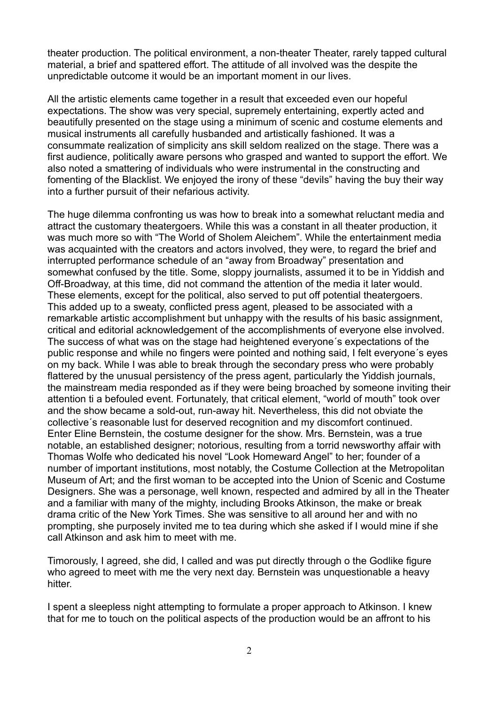theater production. The political environment, a non-theater Theater, rarely tapped cultural material, a brief and spattered effort. The attitude of all involved was the despite the unpredictable outcome it would be an important moment in our lives.

All the artistic elements came together in a result that exceeded even our hopeful expectations. The show was very special, supremely entertaining, expertly acted and beautifully presented on the stage using a minimum of scenic and costume elements and musical instruments all carefully husbanded and artistically fashioned. It was a consummate realization of simplicity ans skill seldom realized on the stage. There was a first audience, politically aware persons who grasped and wanted to support the effort. We also noted a smattering of individuals who were instrumental in the constructing and fomenting of the Blacklist. We enjoyed the irony of these "devils" having the buy their way into a further pursuit of their nefarious activity.

The huge dilemma confronting us was how to break into a somewhat reluctant media and attract the customary theatergoers. While this was a constant in all theater production, it was much more so with "The World of Sholem Aleichem". While the entertainment media was acquainted with the creators and actors involved, they were, to regard the brief and interrupted performance schedule of an "away from Broadway" presentation and somewhat confused by the title. Some, sloppy journalists, assumed it to be in Yiddish and Off-Broadway, at this time, did not command the attention of the media it later would. These elements, except for the political, also served to put off potential theatergoers. This added up to a sweaty, conflicted press agent, pleased to be associated with a remarkable artistic accomplishment but unhappy with the results of his basic assignment, critical and editorial acknowledgement of the accomplishments of everyone else involved. The success of what was on the stage had heightened everyone´s expectations of the public response and while no fingers were pointed and nothing said, I felt everyone´s eyes on my back. While I was able to break through the secondary press who were probably flattered by the unusual persistency of the press agent, particularly the Yiddish journals, the mainstream media responded as if they were being broached by someone inviting their attention ti a befouled event. Fortunately, that critical element, "world of mouth" took over and the show became a sold-out, run-away hit. Nevertheless, this did not obviate the collective´s reasonable lust for deserved recognition and my discomfort continued. Enter Eline Bernstein, the costume designer for the show. Mrs. Bernstein, was a true notable, an established designer; notorious, resulting from a torrid newsworthy affair with Thomas Wolfe who dedicated his novel "Look Homeward Angel" to her; founder of a number of important institutions, most notably, the Costume Collection at the Metropolitan Museum of Art; and the first woman to be accepted into the Union of Scenic and Costume Designers. She was a personage, well known, respected and admired by all in the Theater and a familiar with many of the mighty, including Brooks Atkinson, the make or break drama critic of the New York Times. She was sensitive to all around her and with no prompting, she purposely invited me to tea during which she asked if I would mine if she call Atkinson and ask him to meet with me.

Timorously, I agreed, she did, I called and was put directly through o the Godlike figure who agreed to meet with me the very next day. Bernstein was unquestionable a heavy hitter.

I spent a sleepless night attempting to formulate a proper approach to Atkinson. I knew that for me to touch on the political aspects of the production would be an affront to his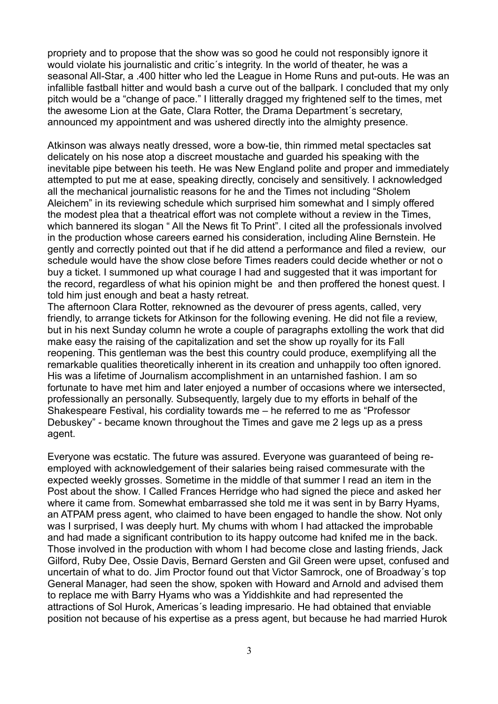propriety and to propose that the show was so good he could not responsibly ignore it would violate his journalistic and critic´s integrity. In the world of theater, he was a seasonal All-Star, a .400 hitter who led the League in Home Runs and put-outs. He was an infallible fastball hitter and would bash a curve out of the ballpark. I concluded that my only pitch would be a "change of pace." I litterally dragged my frightened self to the times, met the awesome Lion at the Gate, Clara Rotter, the Drama Department´s secretary, announced my appointment and was ushered directly into the almighty presence.

Atkinson was always neatly dressed, wore a bow-tie, thin rimmed metal spectacles sat delicately on his nose atop a discreet moustache and guarded his speaking with the inevitable pipe between his teeth. He was New England polite and proper and immediately attempted to put me at ease, speaking directly, concisely and sensitively. I acknowledged all the mechanical journalistic reasons for he and the Times not including "Sholem Aleichem" in its reviewing schedule which surprised him somewhat and I simply offered the modest plea that a theatrical effort was not complete without a review in the Times, which bannered its slogan " All the News fit To Print". I cited all the professionals involved in the production whose careers earned his consideration, including Aline Bernstein. He gently and correctly pointed out that if he did attend a performance and filed a review, our schedule would have the show close before Times readers could decide whether or not o buy a ticket. I summoned up what courage I had and suggested that it was important for the record, regardless of what his opinion might be and then proffered the honest quest. I told him just enough and beat a hasty retreat.

The afternoon Clara Rotter, reknowned as the devourer of press agents, called, very friendly, to arrange tickets for Atkinson for the following evening. He did not file a review, but in his next Sunday column he wrote a couple of paragraphs extolling the work that did make easy the raising of the capitalization and set the show up royally for its Fall reopening. This gentleman was the best this country could produce, exemplifying all the remarkable qualities theoretically inherent in its creation and unhappily too often ignored. His was a lifetime of Journalism accomplishment in an untarnished fashion. I am so fortunate to have met him and later enjoyed a number of occasions where we intersected, professionally an personally. Subsequently, largely due to my efforts in behalf of the Shakespeare Festival, his cordiality towards me – he referred to me as "Professor Debuskey" - became known throughout the Times and gave me 2 legs up as a press agent.

Everyone was ecstatic. The future was assured. Everyone was guaranteed of being reemployed with acknowledgement of their salaries being raised commesurate with the expected weekly grosses. Sometime in the middle of that summer I read an item in the Post about the show. I Called Frances Herridge who had signed the piece and asked her where it came from. Somewhat embarrassed she told me it was sent in by Barry Hyams, an ATPAM press agent, who claimed to have been engaged to handle the show. Not only was I surprised, I was deeply hurt. My chums with whom I had attacked the improbable and had made a significant contribution to its happy outcome had knifed me in the back. Those involved in the production with whom I had become close and lasting friends, Jack Gilford, Ruby Dee, Ossie Davis, Bernard Gersten and Gil Green were upset, confused and uncertain of what to do. Jim Proctor found out that Victor Samrock, one of Broadway´s top General Manager, had seen the show, spoken with Howard and Arnold and advised them to replace me with Barry Hyams who was a Yiddishkite and had represented the attractions of Sol Hurok, Americas´s leading impresario. He had obtained that enviable position not because of his expertise as a press agent, but because he had married Hurok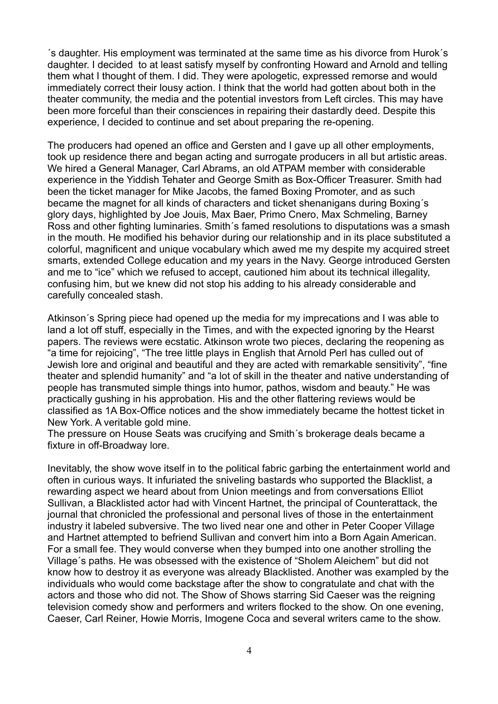´s daughter. His employment was terminated at the same time as his divorce from Hurok´s daughter. I decided to at least satisfy myself by confronting Howard and Arnold and telling them what I thought of them. I did. They were apologetic, expressed remorse and would immediately correct their lousy action. I think that the world had gotten about both in the theater community, the media and the potential investors from Left circles. This may have been more forceful than their consciences in repairing their dastardly deed. Despite this experience, I decided to continue and set about preparing the re-opening.

The producers had opened an office and Gersten and I gave up all other employments, took up residence there and began acting and surrogate producers in all but artistic areas. We hired a General Manager, Carl Abrams, an old ATPAM member with considerable experience in the Yiddish Tehater and George Smith as Box-Officer Treasurer. Smith had been the ticket manager for Mike Jacobs, the famed Boxing Promoter, and as such became the magnet for all kinds of characters and ticket shenanigans during Boxing´s glory days, highlighted by Joe Jouis, Max Baer, Primo Cnero, Max Schmeling, Barney Ross and other fighting luminaries. Smith´s famed resolutions to disputations was a smash in the mouth. He modified his behavior during our relationship and in its place substituted a colorful, magnificent and unique vocabulary which awed me my despite my acquired street smarts, extended College education and my years in the Navy. George introduced Gersten and me to "ice" which we refused to accept, cautioned him about its technical illegality, confusing him, but we knew did not stop his adding to his already considerable and carefully concealed stash.

Atkinson´s Spring piece had opened up the media for my imprecations and I was able to land a lot off stuff, especially in the Times, and with the expected ignoring by the Hearst papers. The reviews were ecstatic. Atkinson wrote two pieces, declaring the reopening as "a time for rejoicing", "The tree little plays in English that Arnold Perl has culled out of Jewish lore and original and beautiful and they are acted with remarkable sensitivity", "fine theater and splendid humanity" and "a lot of skill in the theater and native understanding of people has transmuted simple things into humor, pathos, wisdom and beauty." He was practically gushing in his approbation. His and the other flattering reviews would be classified as 1A Box-Office notices and the show immediately became the hottest ticket in New York. A veritable gold mine.

The pressure on House Seats was crucifying and Smith´s brokerage deals became a fixture in off-Broadway lore.

Inevitably, the show wove itself in to the political fabric garbing the entertainment world and often in curious ways. It infuriated the sniveling bastards who supported the Blacklist, a rewarding aspect we heard about from Union meetings and from conversations Elliot Sullivan, a Blacklisted actor had with Vincent Hartnet, the principal of Counterattack, the journal that chronicled the professional and personal lives of those in the entertainment industry it labeled subversive. The two lived near one and other in Peter Cooper Village and Hartnet attempted to befriend Sullivan and convert him into a Born Again American. For a small fee. They would converse when they bumped into one another strolling the Village´s paths. He was obsessed with the existence of "Sholem Aleichem" but did not know how to destroy it as everyone was already Blacklisted. Another was exampled by the individuals who would come backstage after the show to congratulate and chat with the actors and those who did not. The Show of Shows starring Sid Caeser was the reigning television comedy show and performers and writers flocked to the show. On one evening, Caeser, Carl Reiner, Howie Morris, Imogene Coca and several writers came to the show.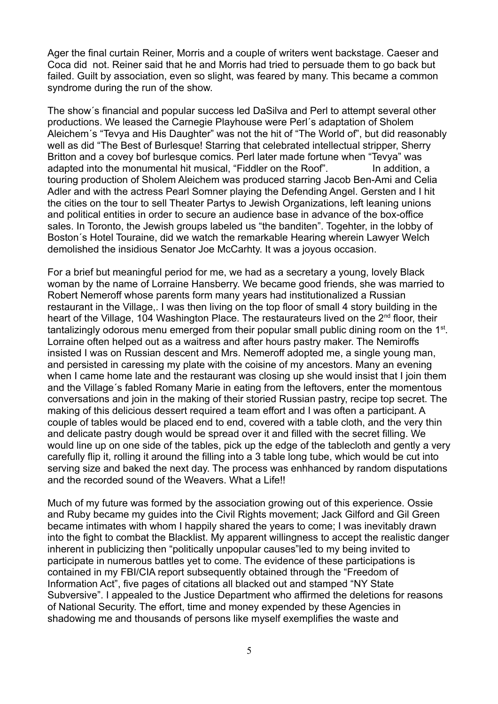Ager the final curtain Reiner, Morris and a couple of writers went backstage. Caeser and Coca did not. Reiner said that he and Morris had tried to persuade them to go back but failed. Guilt by association, even so slight, was feared by many. This became a common syndrome during the run of the show.

The show´s financial and popular success led DaSilva and Perl to attempt several other productions. We leased the Carnegie Playhouse were Perl´s adaptation of Sholem Aleichem´s "Tevya and His Daughter" was not the hit of "The World of", but did reasonably well as did "The Best of Burlesque! Starring that celebrated intellectual stripper. Sherry Britton and a covey bof burlesque comics. Perl later made fortune when "Tevya" was adapted into the monumental hit musical, "Fiddler on the Roof". In addition, a touring production of Sholem Aleichem was produced starring Jacob Ben-Ami and Celia Adler and with the actress Pearl Somner playing the Defending Angel. Gersten and I hit the cities on the tour to sell Theater Partys to Jewish Organizations, left leaning unions and political entities in order to secure an audience base in advance of the box-office sales. In Toronto, the Jewish groups labeled us "the banditen". Togehter, in the lobby of Boston´s Hotel Touraine, did we watch the remarkable Hearing wherein Lawyer Welch demolished the insidious Senator Joe McCarhty. It was a joyous occasion.

For a brief but meaningful period for me, we had as a secretary a young, lovely Black woman by the name of Lorraine Hansberry. We became good friends, she was married to Robert Nemeroff whose parents form many years had institutionalized a Russian restaurant in the Village,. I was then living on the top floor of small 4 story building in the heart of the Village, 104 Washington Place. The restaurateurs lived on the 2<sup>nd</sup> floor, their tantalizingly odorous menu emerged from their popular small public dining room on the 1<sup>st</sup>. Lorraine often helped out as a waitress and after hours pastry maker. The Nemiroffs insisted I was on Russian descent and Mrs. Nemeroff adopted me, a single young man, and persisted in caressing my plate with the coisine of my ancestors. Many an evening when I came home late and the restaurant was closing up she would insist that I join them and the Village´s fabled Romany Marie in eating from the leftovers, enter the momentous conversations and join in the making of their storied Russian pastry, recipe top secret. The making of this delicious dessert required a team effort and I was often a participant. A couple of tables would be placed end to end, covered with a table cloth, and the very thin and delicate pastry dough would be spread over it and filled with the secret filling. We would line up on one side of the tables, pick up the edge of the tablecloth and gently a very carefully flip it, rolling it around the filling into a 3 table long tube, which would be cut into serving size and baked the next day. The process was enhhanced by random disputations and the recorded sound of the Weavers. What a Life!!

Much of my future was formed by the association growing out of this experience. Ossie and Ruby became my guides into the Civil Rights movement; Jack Gilford and Gil Green became intimates with whom I happily shared the years to come; I was inevitably drawn into the fight to combat the Blacklist. My apparent willingness to accept the realistic danger inherent in publicizing then "politically unpopular causes"led to my being invited to participate in numerous battles yet to come. The evidence of these participations is contained in my FBI/CIA report subsequently obtained through the "Freedom of Information Act", five pages of citations all blacked out and stamped "NY State Subversive". I appealed to the Justice Department who affirmed the deletions for reasons of National Security. The effort, time and money expended by these Agencies in shadowing me and thousands of persons like myself exemplifies the waste and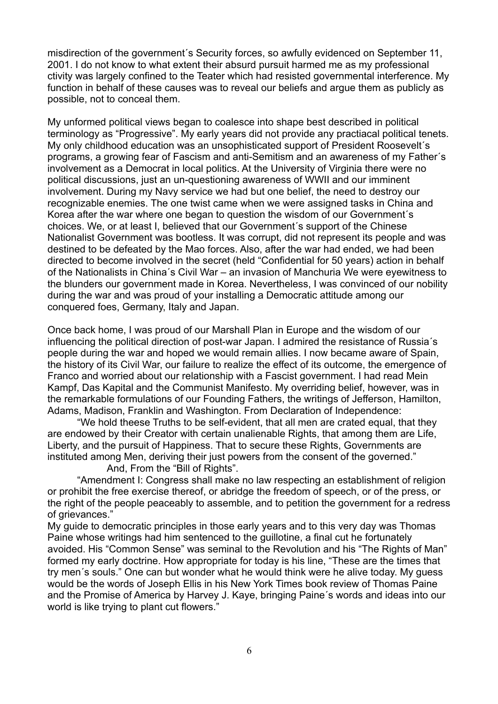misdirection of the government´s Security forces, so awfully evidenced on September 11, 2001. I do not know to what extent their absurd pursuit harmed me as my professional ctivity was largely confined to the Teater which had resisted governmental interference. My function in behalf of these causes was to reveal our beliefs and argue them as publicly as possible, not to conceal them.

My unformed political views began to coalesce into shape best described in political terminology as "Progressive". My early years did not provide any practiacal political tenets. My only childhood education was an unsophisticated support of President Roosevelt´s programs, a growing fear of Fascism and anti-Semitism and an awareness of my Father´s involvement as a Democrat in local politics. At the University of Virginia there were no political discussions, just an un-questioning awareness of WWII and our imminent involvement. During my Navy service we had but one belief, the need to destroy our recognizable enemies. The one twist came when we were assigned tasks in China and Korea after the war where one began to question the wisdom of our Government´s choices. We, or at least I, believed that our Government´s support of the Chinese Nationalist Government was bootless. It was corrupt, did not represent its people and was destined to be defeated by the Mao forces. Also, after the war had ended, we had been directed to become involved in the secret (held "Confidential for 50 years) action in behalf of the Nationalists in China´s Civil War – an invasion of Manchuria We were eyewitness to the blunders our government made in Korea. Nevertheless, I was convinced of our nobility during the war and was proud of your installing a Democratic attitude among our conquered foes, Germany, Italy and Japan.

Once back home, I was proud of our Marshall Plan in Europe and the wisdom of our influencing the political direction of post-war Japan. I admired the resistance of Russia´s people during the war and hoped we would remain allies. I now became aware of Spain, the history of its Civil War, our failure to realize the effect of its outcome, the emergence of Franco and worried about our relationship with a Fascist government. I had read Mein Kampf, Das Kapital and the Communist Manifesto. My overriding belief, however, was in the remarkable formulations of our Founding Fathers, the writings of Jefferson, Hamilton, Adams, Madison, Franklin and Washington. From Declaration of Independence:

"We hold theese Truths to be self-evident, that all men are crated equal, that they are endowed by their Creator with certain unalienable Rights, that among them are Life, Liberty, and the pursuit of Happiness. That to secure these Rights, Governments are instituted among Men, deriving their just powers from the consent of the governed."

And, From the "Bill of Rights".

"Amendment I: Congress shall make no law respecting an establishment of religion or prohibit the free exercise thereof, or abridge the freedom of speech, or of the press, or the right of the people peaceably to assemble, and to petition the government for a redress of grievances."

My guide to democratic principles in those early years and to this very day was Thomas Paine whose writings had him sentenced to the guillotine, a final cut he fortunately avoided. His "Common Sense" was seminal to the Revolution and his "The Rights of Man" formed my early doctrine. How appropriate for today is his line, "These are the times that try men´s souls." One can but wonder what he would think were he alive today. My guess would be the words of Joseph Ellis in his New York Times book review of Thomas Paine and the Promise of America by Harvey J. Kaye, bringing Paine´s words and ideas into our world is like trying to plant cut flowers."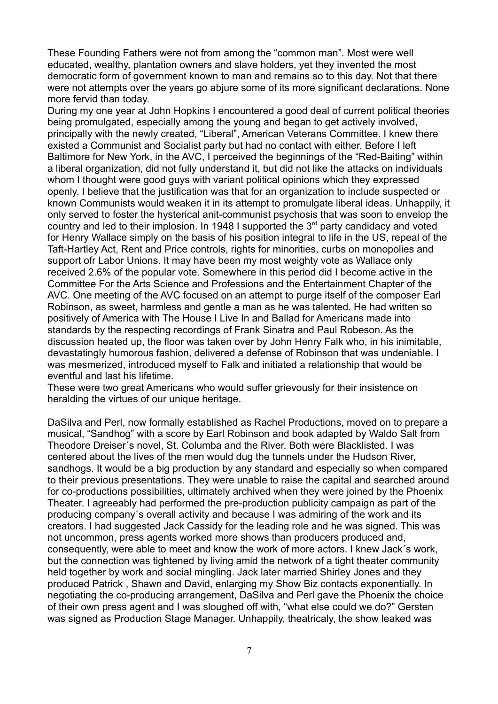These Founding Fathers were not from among the "common man". Most were well educated, wealthy, plantation owners and slave holders, yet they invented the most democratic form of government known to man and remains so to this day. Not that there were not attempts over the years go abjure some of its more significant declarations. None more fervid than today.

During my one year at John Hopkins I encountered a good deal of current political theories being promulgated, especially among the young and began to get actively involved, principally with the newly created, "Liberal", American Veterans Committee. I knew there existed a Communist and Socialist party but had no contact with either. Before I left Baltimore for New York, in the AVC, I perceived the beginnings of the "Red-Baiting" within a liberal organization, did not fully understand it, but did not like the attacks on individuals whom I thought were good guys with variant political opinions which they expressed openly. I believe that the justification was that for an organization to include suspected or known Communists would weaken it in its attempt to promulgate liberal ideas. Unhappily, it only served to foster the hysterical anit-communist psychosis that was soon to envelop the country and led to their implosion. In 1948 I supported the  $3<sup>rd</sup>$  party candidacy and voted for Henry Wallace simply on the basis of his position integral to life in the US, repeal of the Taft-Hartley Act, Rent and Price controls, rights for minorities, curbs on monopolies and support ofr Labor Unions. It may have been my most weighty vote as Wallace only received 2.6% of the popular vote. Somewhere in this period did I become active in the Committee For the Arts Science and Professions and the Entertainment Chapter of the AVC. One meeting of the AVC focused on an attempt to purge itself of the composer Earl Robinson, as sweet, harmless and gentle a man as he was talented. He had written so positively of America with The House I Live In and Ballad for Americans made into standards by the respecting recordings of Frank Sinatra and Paul Robeson. As the discussion heated up, the floor was taken over by John Henry Falk who, in his inimitable, devastatingly humorous fashion, delivered a defense of Robinson that was undeniable. I was mesmerized, introduced myself to Falk and initiated a relationship that would be eventful and last his lifetime.

These were two great Americans who would suffer grievously for their insistence on heralding the virtues of our unique heritage.

DaSilva and Perl, now formally established as Rachel Productions, moved on to prepare a musical, "Sandhog" with a score by Earl Robinson and book adapted by Waldo Salt from Theodore Dreiser´s novel, St. Columba and the River. Both were Blacklisted. I was centered about the lives of the men would dug the tunnels under the Hudson River, sandhogs. It would be a big production by any standard and especially so when compared to their previous presentations. They were unable to raise the capital and searched around for co-productions possibilities, ultimately archived when they were joined by the Phoenix Theater. I agreeably had performed the pre-production publicity campaign as part of the producing company´s overall activity and because I was admiring of the work and its creators. I had suggested Jack Cassidy for the leading role and he was signed. This was not uncommon, press agents worked more shows than producers produced and, consequently, were able to meet and know the work of more actors. I knew Jack´s work, but the connection was tightened by living amid the network of a tight theater community held together by work and social mingling. Jack later married Shirley Jones and they produced Patrick , Shawn and David, enlarging my Show Biz contacts exponentially. In negotiating the co-producing arrangement, DaSilva and Perl gave the Phoenix the choice of their own press agent and I was sloughed off with, "what else could we do?" Gersten was signed as Production Stage Manager. Unhappily, theatricaly, the show leaked was